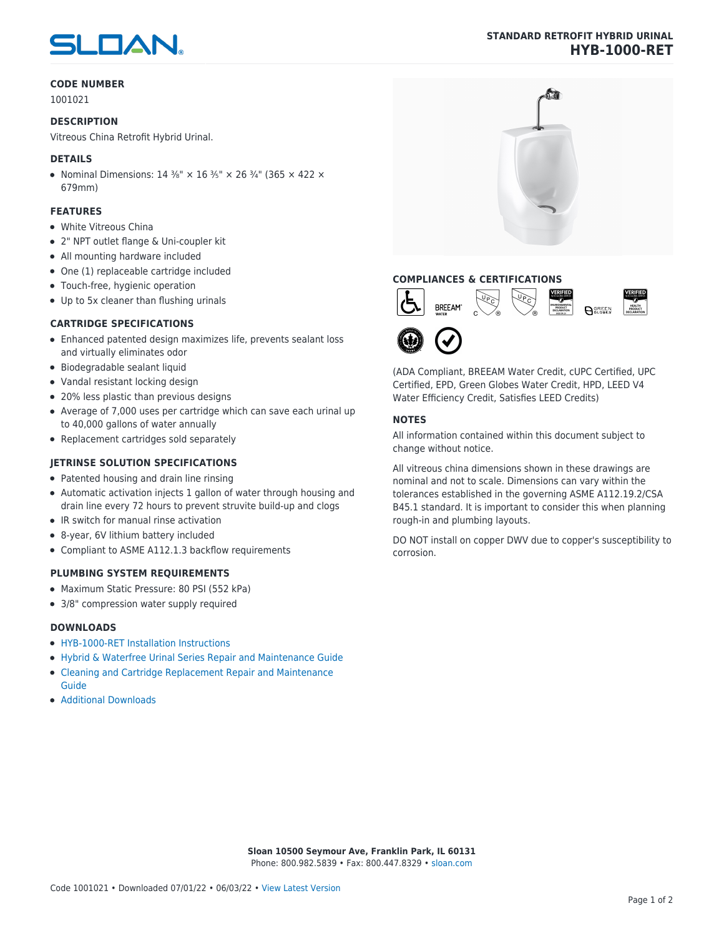# SLOAN

#### **CODE NUMBER**

1001021

#### **DESCRIPTION**

Vitreous China Retrofit Hybrid Urinal.

#### **DETAILS**

• Nominal Dimensions:  $14 \frac{3}{8}$ " ×  $16 \frac{3}{5}$ " ×  $26 \frac{3}{4}$ " (365 × 422 × 679mm)

#### **FEATURES**

- White Vitreous China
- 2" NPT outlet flange & Uni-coupler kit
- All mounting hardware included
- One (1) replaceable cartridge included
- Touch-free, hygienic operation
- Up to 5x cleaner than flushing urinals

#### **CARTRIDGE SPECIFICATIONS**

- Enhanced patented design maximizes life, prevents sealant loss and virtually eliminates odor
- Biodegradable sealant liquid
- Vandal resistant locking design
- 20% less plastic than previous designs
- Average of 7,000 uses per cartridge which can save each urinal up to 40,000 gallons of water annually
- Replacement cartridges sold separately

### **JETRINSE SOLUTION SPECIFICATIONS**

- Patented housing and drain line rinsing
- Automatic activation injects 1 gallon of water through housing and drain line every 72 hours to prevent struvite build-up and clogs
- IR switch for manual rinse activation
- 8-year, 6V lithium battery included
- Compliant to ASME A112.1.3 backflow requirements

#### **PLUMBING SYSTEM REQUIREMENTS**

- Maximum Static Pressure: 80 PSI (552 kPa)
- 3/8" compression water supply required

#### **DOWNLOADS**

- [HYB-1000-RET Installation Instructions](https://www.sloan.com/sites/default/files/2018-05/II0816682Rev2.pdf)
- [Hybrid & Waterfree Urinal Series Repair and Maintenance Guide](https://www.sloan.com/sites/default/files/2020-03/Hybrid_Urinal_Series_Maint_Guide.pdf)
- [Cleaning and Cartridge Replacement Repair and Maintenance](https://www.sloan.com/sites/default/files/2015-12/urinal-cleaning-and-cartridge-replacement.pdf) [Guide](https://www.sloan.com/sites/default/files/2015-12/urinal-cleaning-and-cartridge-replacement.pdf)
- [Additional Downloads](https://www.sloan.com/commercial-bathroom-products/urinals/hyb-1000-ret)

## **COMPLIANCES & CERTIFICATIONS**





(ADA Compliant, BREEAM Water Credit, cUPC Certified, UPC Certified, EPD, Green Globes Water Credit, HPD, LEED V4 Water Efficiency Credit, Satisfies LEED Credits)

#### **NOTES**

All information contained within this document subject to change without notice.

All vitreous china dimensions shown in these drawings are nominal and not to scale. Dimensions can vary within the tolerances established in the governing ASME A112.19.2/CSA B45.1 standard. It is important to consider this when planning rough-in and plumbing layouts.

DO NOT install on copper DWV due to copper's susceptibility to corrosion.

**Sloan 10500 Seymour Ave, Franklin Park, IL 60131** Phone: 800.982.5839 • Fax: 800.447.8329 • [sloan.com](https://www.sloan.com)

#### **STANDARD RETROFIT HYBRID URINAL HYB-1000-RET**